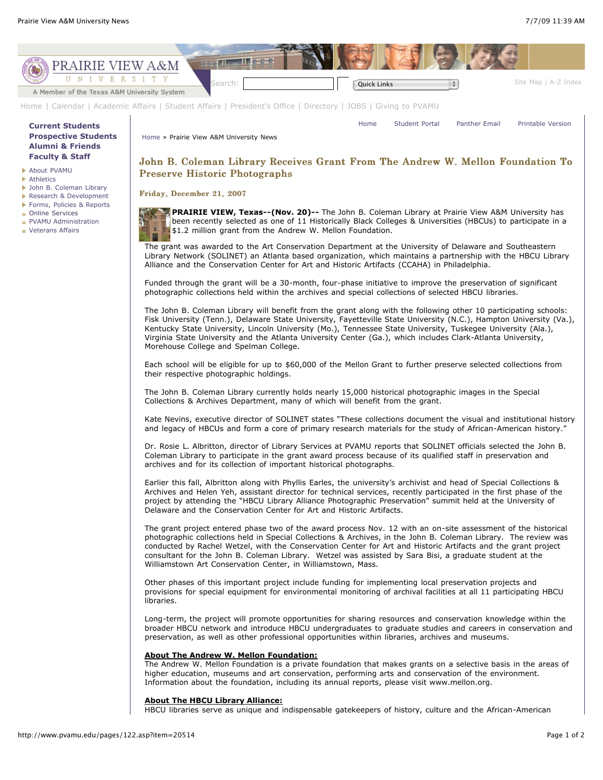

HBCU libraries serve as unique and indispensable gatekeepers of history, culture and the African-American